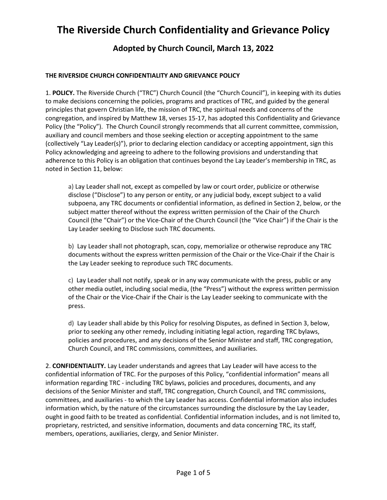### **Adopted by Church Council, March 13, 2022**

#### **THE RIVERSIDE CHURCH CONFIDENTIALITY AND GRIEVANCE POLICY**

1. **POLICY.** The Riverside Church ("TRC") Church Council (the "Church Council"), in keeping with its duties to make decisions concerning the policies, programs and practices of TRC, and guided by the general principles that govern Christian life, the mission of TRC, the spiritual needs and concerns of the congregation, and inspired by Matthew 18, verses 15-17, has adopted this Confidentiality and Grievance Policy (the "Policy"). The Church Council strongly recommends that all current committee, commission, auxiliary and council members and those seeking election or accepting appointment to the same (collectively "Lay Leader(s)"), prior to declaring election candidacy or accepting appointment, sign this Policy acknowledging and agreeing to adhere to the following provisions and understanding that adherence to this Policy is an obligation that continues beyond the Lay Leader's membership in TRC, as noted in Section 11, below:

a) Lay Leader shall not, except as compelled by law or court order, publicize or otherwise disclose ("Disclose") to any person or entity, or any judicial body, except subject to a valid subpoena, any TRC documents or confidential information, as defined in Section 2, below, or the subject matter thereof without the express written permission of the Chair of the Church Council (the "Chair") or the Vice‐Chair of the Church Council (the "Vice Chair") if the Chair is the Lay Leader seeking to Disclose such TRC documents.

b) Lay Leader shall not photograph, scan, copy, memorialize or otherwise reproduce any TRC documents without the express written permission of the Chair or the Vice‐Chair if the Chair is the Lay Leader seeking to reproduce such TRC documents.

c) Lay Leader shall not notify, speak or in any way communicate with the press, public or any other media outlet, including social media, (the "Press") without the express written permission of the Chair or the Vice‐Chair if the Chair is the Lay Leader seeking to communicate with the press.

d) Lay Leader shall abide by this Policy for resolving Disputes, as defined in Section 3, below, prior to seeking any other remedy, including initiating legal action, regarding TRC bylaws, policies and procedures, and any decisions of the Senior Minister and staff, TRC congregation, Church Council, and TRC commissions, committees, and auxiliaries.

2. **CONFIDENTIALITY.** Lay Leader understands and agrees that Lay Leader will have access to the confidential information of TRC. For the purposes of this Policy, "confidential information" means all information regarding TRC - including TRC bylaws, policies and procedures, documents, and any decisions of the Senior Minister and staff, TRC congregation, Church Council, and TRC commissions, committees, and auxiliaries - to which the Lay Leader has access. Confidential information also includes information which, by the nature of the circumstances surrounding the disclosure by the Lay Leader, ought in good faith to be treated as confidential. Confidential information includes, and is not limited to, proprietary, restricted, and sensitive information, documents and data concerning TRC, its staff, members, operations, auxiliaries, clergy, and Senior Minister.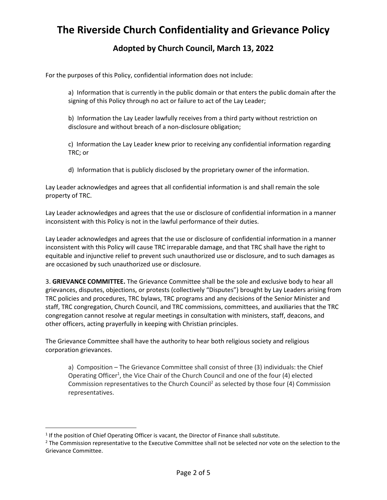### **Adopted by Church Council, March 13, 2022**

For the purposes of this Policy, confidential information does not include:

a) Information that is currently in the public domain or that enters the public domain after the signing of this Policy through no act or failure to act of the Lay Leader;

b) Information the Lay Leader lawfully receives from a third party without restriction on disclosure and without breach of a non‐disclosure obligation;

c) Information the Lay Leader knew prior to receiving any confidential information regarding TRC; or

d) Information that is publicly disclosed by the proprietary owner of the information.

Lay Leader acknowledges and agrees that all confidential information is and shall remain the sole property of TRC.

Lay Leader acknowledges and agrees that the use or disclosure of confidential information in a manner inconsistent with this Policy is not in the lawful performance of their duties.

Lay Leader acknowledges and agrees that the use or disclosure of confidential information in a manner inconsistent with this Policy will cause TRC irreparable damage, and that TRC shall have the right to equitable and injunctive relief to prevent such unauthorized use or disclosure, and to such damages as are occasioned by such unauthorized use or disclosure.

3. **GRIEVANCE COMMITTEE.** The Grievance Committee shall be the sole and exclusive body to hear all grievances, disputes, objections, or protests (collectively "Disputes") brought by Lay Leaders arising from TRC policies and procedures, TRC bylaws, TRC programs and any decisions of the Senior Minister and staff, TRC congregation, Church Council, and TRC commissions, committees, and auxiliaries that the TRC congregation cannot resolve at regular meetings in consultation with ministers, staff, deacons, and other officers, acting prayerfully in keeping with Christian principles.

The Grievance Committee shall have the authority to hear both religious society and religious corporation grievances.

a) Composition – The Grievance Committee shall consist of three (3) individuals: the Chief Operating Officer<sup>1</sup>, the Vice Chair of the Church Council and one of the four (4) elected Commission representatives to the Church Council<sup>2</sup> as selected by those four (4) Commission representatives.

<sup>&</sup>lt;sup>1</sup> If the position of Chief Operating Officer is vacant, the Director of Finance shall substitute.

<sup>&</sup>lt;sup>2</sup> The Commission representative to the Executive Committee shall not be selected nor vote on the selection to the Grievance Committee.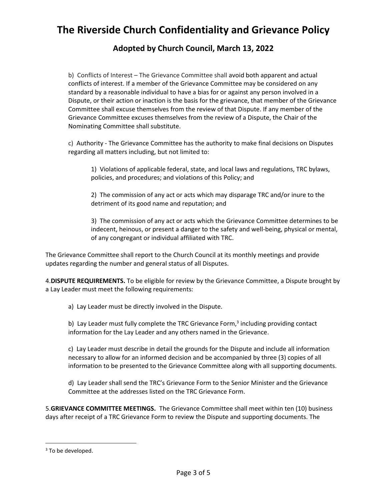### **Adopted by Church Council, March 13, 2022**

b) Conflicts of Interest – The Grievance Committee shall avoid both apparent and actual conflicts of interest. If a member of the Grievance Committee may be considered on any standard by a reasonable individual to have a bias for or against any person involved in a Dispute, or their action or inaction is the basis for the grievance, that member of the Grievance Committee shall excuse themselves from the review of that Dispute. If any member of the Grievance Committee excuses themselves from the review of a Dispute, the Chair of the Nominating Committee shall substitute.

c) Authority - The Grievance Committee has the authority to make final decisions on Disputes regarding all matters including, but not limited to:

1) Violations of applicable federal, state, and local laws and regulations, TRC bylaws, policies, and procedures; and violations of this Policy; and

2) The commission of any act or acts which may disparage TRC and/or inure to the detriment of its good name and reputation; and

3) The commission of any act or acts which the Grievance Committee determines to be indecent, heinous, or present a danger to the safety and well‐being, physical or mental, of any congregant or individual affiliated with TRC.

The Grievance Committee shall report to the Church Council at its monthly meetings and provide updates regarding the number and general status of all Disputes.

4.**DISPUTE REQUIREMENTS.** To be eligible for review by the Grievance Committee, a Dispute brought by a Lay Leader must meet the following requirements:

a) Lay Leader must be directly involved in the Dispute.

b) Lay Leader must fully complete the TRC Grievance Form,<sup>3</sup> including providing contact information for the Lay Leader and any others named in the Grievance.

c) Lay Leader must describe in detail the grounds for the Dispute and include all information necessary to allow for an informed decision and be accompanied by three (3) copies of all information to be presented to the Grievance Committee along with all supporting documents.

d) Lay Leader shall send the TRC's Grievance Form to the Senior Minister and the Grievance Committee at the addresses listed on the TRC Grievance Form.

5.**GRIEVANCE COMMITTEE MEETINGS.** The Grievance Committee shall meet within ten (10) business days after receipt of a TRC Grievance Form to review the Dispute and supporting documents. The

<sup>&</sup>lt;sup>3</sup> To be developed.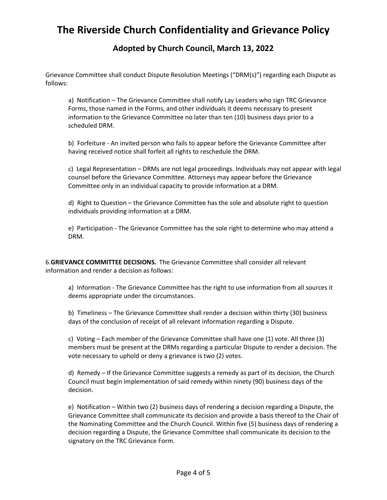#### **Adopted by Church Council, March 13, 2022**

Grievance Committee shall conduct Dispute Resolution Meetings ("DRM(s)") regarding each Dispute as follows:

a) Notification – The Grievance Committee shall notify Lay Leaders who sign TRC Grievance Forms, those named in the Forms, and other individuals it deems necessary to present information to the Grievance Committee no later than ten (10) business days prior to a scheduled DRM.

b) Forfeiture - An invited person who fails to appear before the Grievance Committee after having received notice shall forfeit all rights to reschedule the DRM.

c) Legal Representation – DRMs are not legal proceedings. Individuals may not appear with legal counsel before the Grievance Committee. Attorneys may appear before the Grievance Committee only in an individual capacity to provide information at a DRM.

d) Right to Question – the Grievance Committee has the sole and absolute right to question individuals providing information at a DRM.

e) Participation - The Grievance Committee has the sole right to determine who may attend a DRM.

6.**GRIEVANCE COMMITTEE DECISIONS.** The Grievance Committee shall consider all relevant information and render a decision as follows:

a) Information - The Grievance Committee has the right to use information from all sources it deems appropriate under the circumstances.

b) Timeliness – The Grievance Committee shall render a decision within thirty (30) business days of the conclusion of receipt of all relevant information regarding a Dispute.

c) Voting – Each member of the Grievance Committee shall have one (1) vote. All three (3) members must be present at the DRMs regarding a particular Dispute to render a decision. The vote necessary to uphold or deny a grievance is two (2) votes.

d) Remedy – If the Grievance Committee suggests a remedy as part of its decision, the Church Council must begin implementation of said remedy within ninety (90) business days of the decision.

e) Notification – Within two (2) business days of rendering a decision regarding a Dispute, the Grievance Committee shall communicate its decision and provide a basis thereof to the Chair of the Nominating Committee and the Church Council. Within five (5) business days of rendering a decision regarding a Dispute, the Grievance Committee shall communicate its decision to the signatory on the TRC Grievance Form.